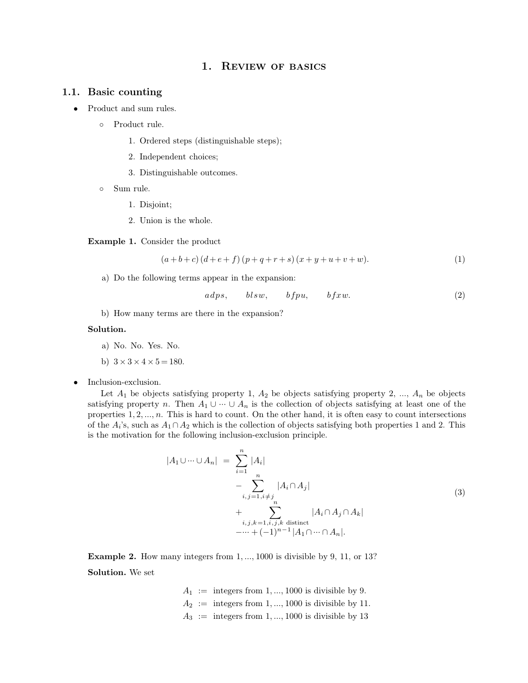# 1. REVIEW OF BASICS

- 1.1. **Basic counting**<br>• Product and sum rules. 1. Basic counting<br>• Product and sum rules.<br>• Product rule.<br>1. Ordered steps
	-
	- **1. Ordered steps (distinguishable steps);<br>1. Ordered steps (distinguishable steps);<br>2. Independent choices:** d sum rules.<br>2. Independent choices;<br>2. Independent choices;<br>3. Distinguishable outcomes 9. Product rule.<br>
	1. Ordered steps (distinguishable<br>
	2. Independent choices;<br>
	3. Distinguishable outcomes.<br>
	9. Sum rule.<br>
	1. Disioint:
		-
		-
	- - 1. Disjoint;
		-

3. Distinguishable outcomes.<br>
• Sum rule.<br>
1. Disjoint;<br>
2. Union is the whole.<br> **Example 1.** Consider the product 3. Union is the whole.<br>**Example 1.** Consider the product  $(a + b + c)(d + e + f)$ 

$$
(a+b+c)(d+e+f)(p+q+r+s)(x+y+u+v+w).
$$
\n(1)  
\nwing terms appear in the expansion:  
\n
$$
adps, \qquad blsw, \qquad bfpu, \qquad bfxw.
$$
\n(2)  
\nterms are there in the expansion?

**ample 1.** Consider the product<br>  $(a+b+c)(d+e+f)(p+q+r+s)(x+$ <br>
a) Do the following terms appear in the expansion:<br>  $adns = blsw = bfnv$ (a+b+c)(a+c+f)(p+q+r+s)(x+<br>a) Do the following terms appear in the expansion:<br> $adps$ ,  $blsw$ ,  $bfpu$ ,<br>b) How many terms are there in the expansion?

$$
adps, \qquad blsw, \qquad bfpu, \qquad bfxw. \tag{2}
$$

b) How many terms are there in the expansion?<br> **lution.**<br>
a) No. No. Yes. No. b) How many terms are there<br> **Solution.**<br>
a) No. No. Yes. No.<br>
b)  $3 \times 3 \times 4 \times 5 = 180$ .<br> **•** Inclusion-exclusion.

# **Solution.**

- 
- b)  $3 \times 3 \times 4 \times 5 = 180$ .
- 

Inclusion-exclusion.<br>Let  $A_1$  be objects satisfying property 1,  $A_2$  be objects satisfying property 2, ...,  $A_n$  be objects satisfying property *n*. Then  $A_1 \cup \cdots \cup A_n$  is the collection of objects satisfying at least o b)  $3 \times 3 \times 4 \times 5 = 180$ .<br>Inclusion-exclusion.<br>Let  $A_1$  be objects satisfying property 1,  $A_2$  be objects satisfying property 2, ...,  $A_n$  be objects<br>satisfying property *n*. Then  $A_1 \cup \cdots \cup A_n$  is the collection of obje Inclusion-exclusion.<br>
Let  $A_1$  be objects satisfying property 1,  $A_2$  be objects satisfying property 2, ...,  $A_n$  be objects satisfying property *n*. Then  $A_1 \cup \cdots \cup A_n$  is the collection of objects satisfying at least Inclusion-exclusion.<br>
Let  $A_1$  be objects satisfying property 1,  $A_2$  be objects satisfying property 2, ...,  $A_n$  be objects<br>
satisfying property *n*. Then  $A_1 \cup \cdots \cup A_n$  is the collection of objects satisfying at least is the motivation.<br>
Let  $A_1$  be objects satisfying property 1,  $A_2$  be objects satisfying<br>
satisfying property *n*. Then  $A_1 \cup \cdots \cup A_n$  is the collection of objec<br>
properties 1, 2, ..., *n*. This is hard to count. On th is the motivation for the following inclusion-exclusion principle.

$$
|A_1 \cup \cdots \cup A_n| = \sum_{i=1}^n |A_i|
$$
  
\n
$$
- \sum_{i,j=1, i \neq j}^n |A_i \cap A_j|
$$
  
\n
$$
+ \sum_{i,j,k=1, i,j,k \text{ distinct}}^n |A_i \cap A_j \cap A_k|
$$
  
\n
$$
- \cdots + (-1)^{n-1} |A_1 \cap \cdots \cap A_n|.
$$
  
\n**Example 2.** How many integers from 1, ..., 1000 is divisible by 9, 11, or 13?  
\n**Solution.** We set

**Example 2.** How many<br>**Solution.** We set

y integers from 1, ..., 1000 is divisible by 9, 11, or 13?  
\n
$$
A_1 :=
$$
 integers from 1, ..., 1000 is divisible by 9.  
\n $A_2 :=$  integers from 1, ..., 1000 is divisible by 11.  
\n $A_3 :=$  integers from 1, ..., 1000 is divisible by 13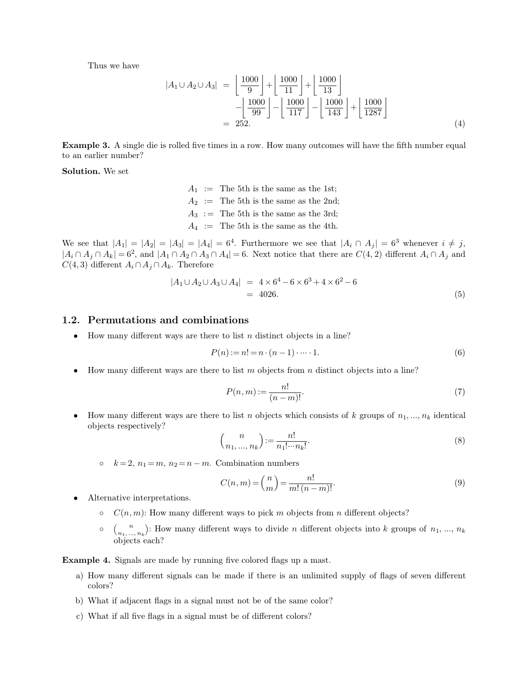Thus we have

$$
|A_1 \cup A_2 \cup A_3| = \left\lfloor \frac{1000}{9} \right\rfloor + \left\lfloor \frac{1000}{11} \right\rfloor + \left\lfloor \frac{1000}{13} \right\rfloor
$$

$$
- \left\lfloor \frac{1000}{99} \right\rfloor - \left\lfloor \frac{1000}{117} \right\rfloor - \left\lfloor \frac{1000}{143} \right\rfloor + \left\lfloor \frac{1000}{1287} \right\rfloor
$$

$$
= 252.
$$
 (4)  
**Example 3.** A single die is rolled five times in a row. How many outcomes will have the fifth number equal to an earlier number?

Example 3. A single die is return on earlier number?<br>Solution. We set **Example 3.** A single dition an earlier number?<br>**Solution.** We set

*A*<sub>1</sub> := The 5th is the same as the 1st;<br> $A_2$  := The 5th is the same as the 1st;<br> $A_2$  := The 5th is the same as the 2nd;  $A_1$  := The 5th is the same as the 1st;<br> $A_2$  := The 5th is the same as the 2nd;<br> $A_3$  := The 5th is the same as the 3rd; *A*<sub>1</sub> := The 5th is the same as the 1st;<br> *A*<sub>2</sub> := The 5th is the same as the 2nd;<br> *A*<sub>3</sub> := The 5th is the same as the 3rd;<br> *A*<sub>4</sub> := The 5th is the same as the 4th.

*A*<sub>1</sub> := The 5th is the same as the 1st;<br> *A*<sub>2</sub> := The 5th is the same as the 2nd;<br> *A*<sub>3</sub> := The 5th is the same as the 3rd;<br> *A*<sub>4</sub> := The 5th is the same as the 4th.<br>
We see that  $|A_1| = |A_2| = |A_3| = |A_4| = 6^4$ . Furth . 5th is the same as the 2nd;<br>  $\therefore$  5th is the same as the 3rd;<br>  $\therefore$  5th is the same as the 4th.<br>  $\therefore$  Furthermore we see that  $|A_i \cap A_j| = 6^3$  whenever  $i \neq j$ ,<br>  $= 6$ . Next notice that there are  $C(4, 2)$  different We see that  $|A_1| = |A_2| = |A_1 \cap A_j \cap A_k| = 6^2$ , and  $|A_1 \cap A_j \cap A_k$ <br>*C*(4, 3) different  $A_i \cap A_j \cap A_k$  $A_2 :=$  The 5th is the same as the 2nd;<br>  $A_3 :=$  The 5th is the same as the 4th.<br>  $A_4 :=$  The 5th is the same as the 4th.<br>  $A_5 = |A_2| = |A_3| = |A_4| = 6^4$ . Furthermore we see that  $|A_i \cap A_j| = 6^3$  whenever  $i \neq j$ ,<br>  $\lambda$ , and  $|$ *C*(4,3) different *A*<sub>*i*</sub>  $\cap$  *A*<sub>*j*</sub>  $\cap$  *A*<sub>*j*</sub>  $\cap$  *A*<sub>*j*</sub>  $\cap$  *A*<sub>*j*</sub>  $\cap$  *A*<sub>*j*</sub>  $\cap$  *A*<sub>*j*</sub>  $\cap$  *A*<sub>*j*</sub>  $\cap$  *A*<sub>*j*</sub>  $\cap$  *A*<sub>*z*</sub>  $\cap$  *A*<sub>2</sub>  $\cap$  *A*<sub>3</sub>  $\cap$  *A*<sub>4</sub> $\mid$  *= C*(4,3) different *A*<sub></sub>  $|A_3| = |A_4| = 6^4$ . Furthermore we see that  $|A_i \cap A_2 \cap A_3 \cap A_4| = 6$ . Next notice that there are *C*(<br> *j*. Therefore<br>  $|A_1 \cup A_2 \cup A_3 \cup A_4| = 4 \times 6^4 - 6 \times 6^3 + 4 \times 6^2 - 6$ <br>  $= 4026$ . *C*(4, 3) different *A<sub>i</sub>* ∩ *A<sub>j</sub>* ∩ *A<sub>k</sub>*. Therefore<br>  $|A_1 \cup A_2 \cup A_3 \cup A_4|$  = 4 × 6<sup>4</sup><br>
= 4026.<br> **1.2. Permutations and combinations**<br>
• How many different ways are there to list *n* distinct

$$
|A_1 \cup A_2 \cup A_3 \cup A_4| = 4 \times 6^4 - 6 \times 6^3 + 4 \times 6^2 - 6
$$
  
= 4026. (5)

**1.2. Permutations and combinations**<br>• How many different ways are there to list *n* distinct objects in a line?

$$
P(n) := n! = n \cdot (n-1) \cdot \dots \cdot 1.
$$
 (6)

**P**(*n*):= *n*! = *n* · (*n* - 1) · · · · 1. (6)<br>
• How many different ways are there to list *m* objects from *n* distinct objects into a line?<br>
•  $P(n,m) := \frac{n!}{n!}$  (7)

$$
):= n! = n \cdot (n-1) \cdot \dots \cdot 1.
$$
\n0 list  $m$  objects from  $n$  distinct objects into a line?

\n
$$
P(n,m) := \frac{n!}{(n-m)!}.
$$
\n(7)

How many different ways are there to list *n* objects from *n* distinct objects into a line?<br>  $P(n,m) := \frac{n!}{(n-m)!}$ . (7)<br>
How many different ways are there to list *n* objects which consists of *k* groups of *n*<sub>1</sub>, ..., *n<sub>k*</sub> How many different ways are<br>bijects respectively? *k* = 2, *n*<sub>1</sub> = *m*, *n*<sub>2</sub> = *n m*. Combination numbers<br>  $\binom{n}{n_1, ..., n_k} := \frac{n!}{n_1! \cdots n_k!}$ <br>  $\binom{n}{k} := \frac{n!}{n_1! \cdots n_k!}$ <br>  $\binom{n}{k} = 2, n_1 = m, n_2 = n - m$ . Combination numbers

$$
(n-m)!
$$
  
to list *n* objects which consists of *k* groups of  $n_1, ..., n_k$  identical  

$$
{n \choose n_1, ..., n_k} := \frac{n!}{n_1! \cdots n_k!}.
$$
  
(8)  
Combination numbers

•  $k = 2, n_1 = m, n_2 = n - m$ . Combination numbers<br> $C(n, m) = {n \choose m} = \underline{\qquad}$ 

$$
\langle n_1, ..., n_k \rangle \qquad n_1! \cdots n_k!
$$
\n
$$
\rho_k = 2, n_1 = m, n_2 = n - m. \text{ Combination numbers}
$$
\n
$$
C(n, m) = \binom{n}{m} = \frac{n!}{m!(n-m)!}.
$$
\nAlternative interpretations.

\n
$$
\rho \qquad C(n, m): \text{How many different ways to pick } m \text{ objects from } n \text{ different objects?}
$$
\n
$$
\rho \qquad \binom{n}{n_1, ..., n_k}.
$$
\nHow many different ways to divide } n \text{ different objects into } k \text{ groups of } n\_1, ..., n\_k

- -
- *n*<sup>1</sup>;  $C(n, m) = {n \choose m} = \frac{n!}{m! (n-m)!}$ . (9)<br> *n*<sub>1</sub>, *m*<sub>2</sub>: How many different ways to pick *m* objects from *n* different objects?<br> *n*<sub>1</sub>, *m*<sub>*n*</sub>): How many different ways to divide *n* different objects into *k* groups ative interpretations.<br>  $C(n, m)$ : How many  $\binom{n}{n_1, ..., n_k}$ : How many objects each?  $C(n, m)$ : How many different ways to pick *m* objects from *n* d<br> **○**  $\binom{n}{n_1, ..., n_k}$ : How many different ways to divide *n* different objects each?<br> **Example 4.** Signals are made by running five colored flags up a mast.<br>

- <sup>o</sup>  $\binom{n}{n_1,\dots,n_k}$ : How many different ways to divide *n* different objects into *k* groups of  $n_1, ..., n_k$ <br>objects each?<br>**ample 4.** Signals are made by running five colored flags up a mast.<br>a) How many different signals ca colors? **Example 4.** Signals are made by running five colored flags up a mast.<br>
a) How many different signals can be made if there is an unlimited supply of flags of seven different<br>
colors?<br>
b) What if adjacent flags in a signal
	-
	- c) What if all five flags in a signal must be of different colors?